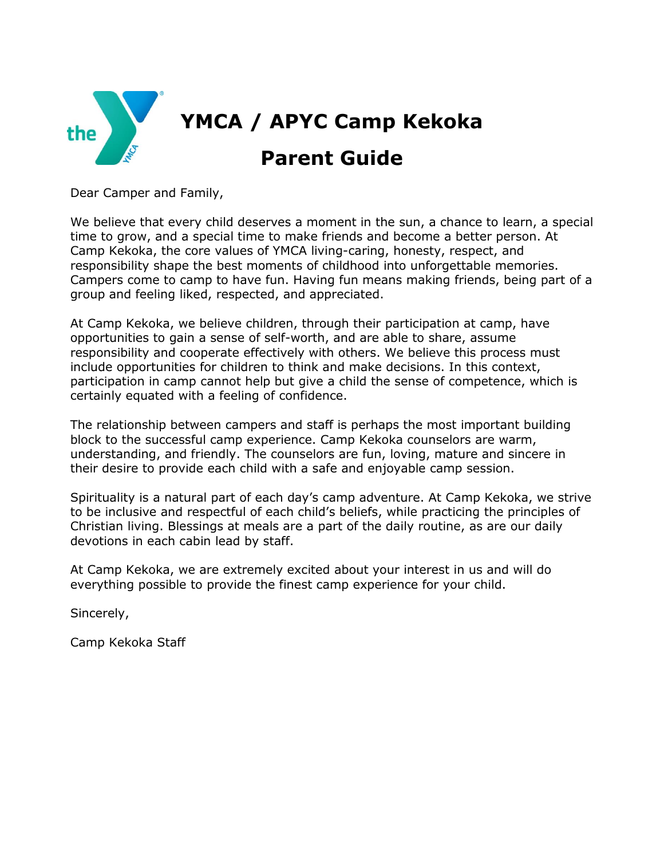

Dear Camper and Family,

We believe that every child deserves a moment in the sun, a chance to learn, a special time to grow, and a special time to make friends and become a better person. At Camp Kekoka, the core values of YMCA living-caring, honesty, respect, and responsibility shape the best moments of childhood into unforgettable memories. Campers come to camp to have fun. Having fun means making friends, being part of a group and feeling liked, respected, and appreciated.

At Camp Kekoka, we believe children, through their participation at camp, have opportunities to gain a sense of self-worth, and are able to share, assume responsibility and cooperate effectively with others. We believe this process must include opportunities for children to think and make decisions. In this context, participation in camp cannot help but give a child the sense of competence, which is certainly equated with a feeling of confidence.

The relationship between campers and staff is perhaps the most important building block to the successful camp experience. Camp Kekoka counselors are warm, understanding, and friendly. The counselors are fun, loving, mature and sincere in their desire to provide each child with a safe and enjoyable camp session.

Spirituality is a natural part of each day's camp adventure. At Camp Kekoka, we strive to be inclusive and respectful of each child's beliefs, while practicing the principles of Christian living. Blessings at meals are a part of the daily routine, as are our daily devotions in each cabin lead by staff.

At Camp Kekoka, we are extremely excited about your interest in us and will do everything possible to provide the finest camp experience for your child.

Sincerely,

Camp Kekoka Staff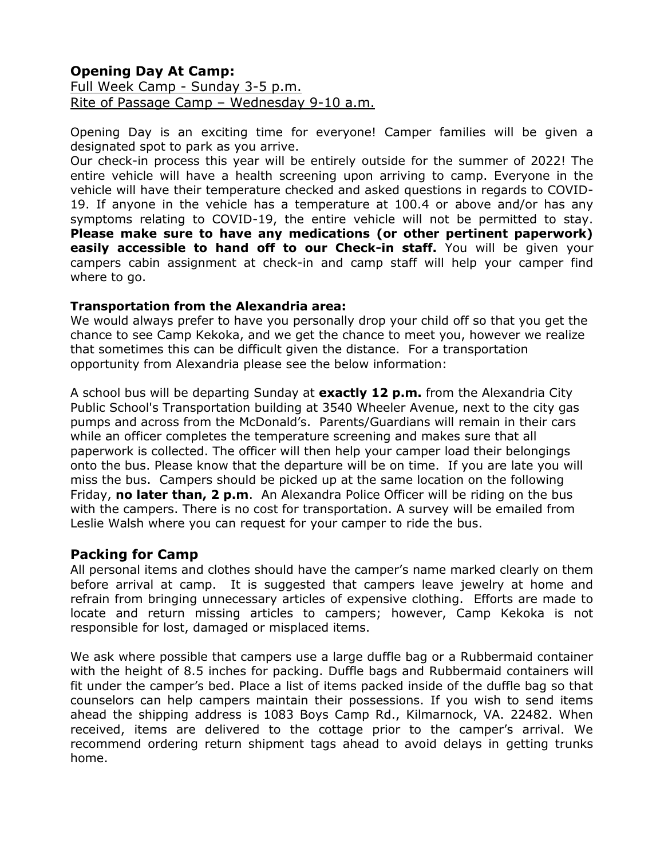#### **Opening Day At Camp:**  Full Week Camp - Sunday 3-5 p.m. Rite of Passage Camp – Wednesday 9-10 a.m.

Opening Day is an exciting time for everyone! Camper families will be given a designated spot to park as you arrive.

Our check-in process this year will be entirely outside for the summer of 2022! The entire vehicle will have a health screening upon arriving to camp. Everyone in the vehicle will have their temperature checked and asked questions in regards to COVID-19. If anyone in the vehicle has a temperature at 100.4 or above and/or has any symptoms relating to COVID-19, the entire vehicle will not be permitted to stay. **Please make sure to have any medications (or other pertinent paperwork) easily accessible to hand off to our Check-in staff.** You will be given your campers cabin assignment at check-in and camp staff will help your camper find where to go.

#### **Transportation from the Alexandria area:**

We would always prefer to have you personally drop your child off so that you get the chance to see Camp Kekoka, and we get the chance to meet you, however we realize that sometimes this can be difficult given the distance. For a transportation opportunity from Alexandria please see the below information:

A school bus will be departing Sunday at **exactly 12 p.m.** from the Alexandria City Public School's Transportation building at 3540 Wheeler Avenue, next to the city gas pumps and across from the McDonald's. Parents/Guardians will remain in their cars while an officer completes the temperature screening and makes sure that all paperwork is collected. The officer will then help your camper load their belongings onto the bus. Please know that the departure will be on time. If you are late you will miss the bus. Campers should be picked up at the same location on the following Friday, **no later than, 2 p.m**. An Alexandra Police Officer will be riding on the bus with the campers. There is no cost for transportation. A survey will be emailed from Leslie Walsh where you can request for your camper to ride the bus.

#### **Packing for Camp**

All personal items and clothes should have the camper's name marked clearly on them before arrival at camp. It is suggested that campers leave jewelry at home and refrain from bringing unnecessary articles of expensive clothing. Efforts are made to locate and return missing articles to campers; however, Camp Kekoka is not responsible for lost, damaged or misplaced items.

We ask where possible that campers use a large duffle bag or a Rubbermaid container with the height of 8.5 inches for packing. Duffle bags and Rubbermaid containers will fit under the camper's bed. Place a list of items packed inside of the duffle bag so that counselors can help campers maintain their possessions. If you wish to send items ahead the shipping address is 1083 Boys Camp Rd., Kilmarnock, VA. 22482. When received, items are delivered to the cottage prior to the camper's arrival. We recommend ordering return shipment tags ahead to avoid delays in getting trunks home.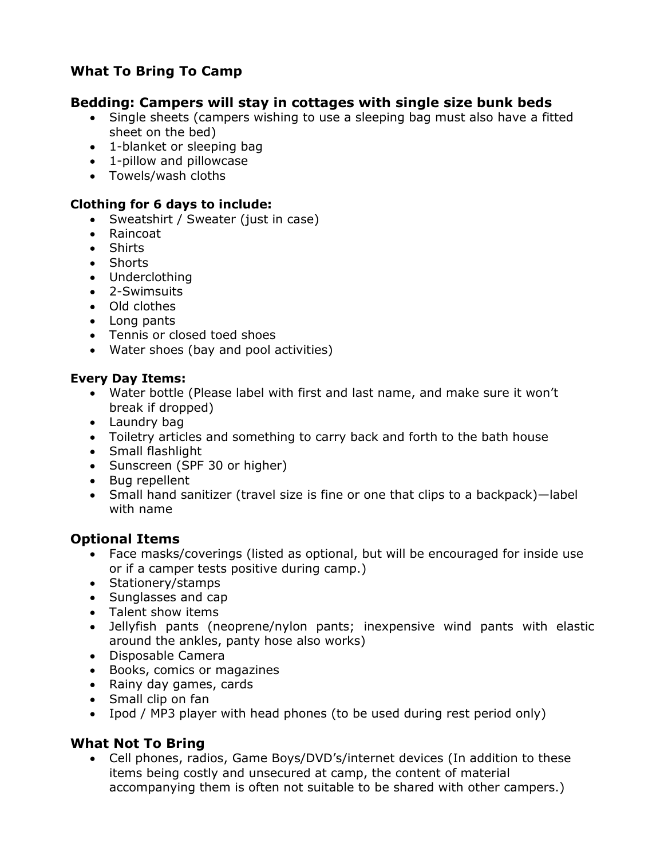# **What To Bring To Camp**

# **Bedding: Campers will stay in cottages with single size bunk beds**

- Single sheets (campers wishing to use a sleeping bag must also have a fitted sheet on the bed)
- 1-blanket or sleeping bag
- 1-pillow and pillowcase
- Towels/wash cloths

## **Clothing for 6 days to include:**

- Sweatshirt / Sweater (just in case)
- Raincoat
- Shirts
- Shorts
- Underclothing
- 2-Swimsuits
- Old clothes
- Long pants
- Tennis or closed toed shoes
- Water shoes (bay and pool activities)

## **Every Day Items:**

- Water bottle (Please label with first and last name, and make sure it won't break if dropped)
- Laundry bag
- Toiletry articles and something to carry back and forth to the bath house
- Small flashlight
- Sunscreen (SPF 30 or higher)
- Bug repellent
- Small hand sanitizer (travel size is fine or one that clips to a backpack)—label with name

# **Optional Items**

- Face masks/coverings (listed as optional, but will be encouraged for inside use or if a camper tests positive during camp.)
- Stationery/stamps
- Sunglasses and cap
- Talent show items
- Jellyfish pants (neoprene/nylon pants; inexpensive wind pants with elastic around the ankles, panty hose also works)
- Disposable Camera
- Books, comics or magazines
- Rainy day games, cards
- Small clip on fan
- Ipod / MP3 player with head phones (to be used during rest period only)

# **What Not To Bring**

• Cell phones, radios, Game Boys/DVD's/internet devices (In addition to these items being costly and unsecured at camp, the content of material accompanying them is often not suitable to be shared with other campers.)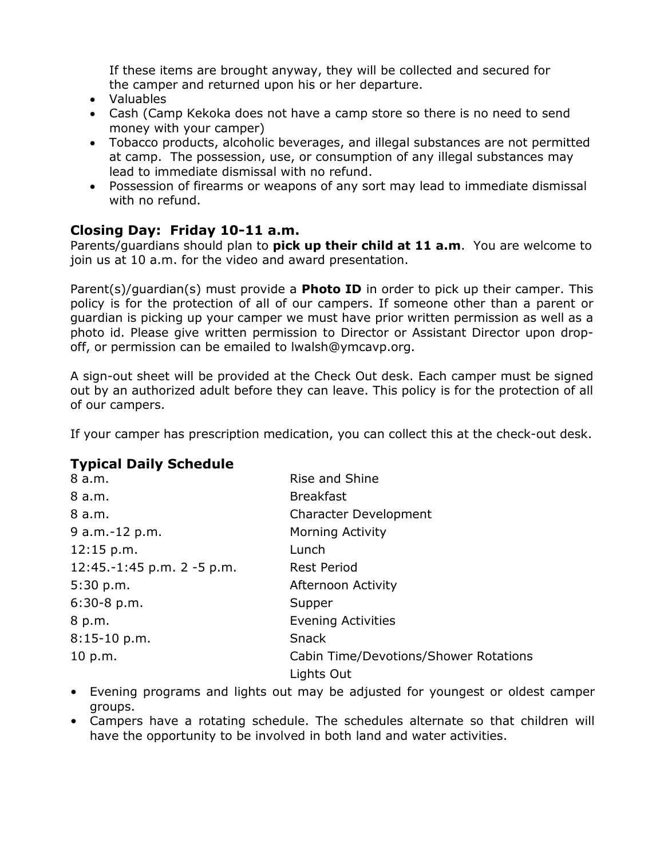If these items are brought anyway, they will be collected and secured for the camper and returned upon his or her departure.

- Valuables
- Cash (Camp Kekoka does not have a camp store so there is no need to send money with your camper)
- Tobacco products, alcoholic beverages, and illegal substances are not permitted at camp. The possession, use, or consumption of any illegal substances may lead to immediate dismissal with no refund.
- Possession of firearms or weapons of any sort may lead to immediate dismissal with no refund.

# **Closing Day: Friday 10-11 a.m.**

Parents/guardians should plan to **pick up their child at 11 a.m**. You are welcome to join us at 10 a.m. for the video and award presentation.

Parent(s)/guardian(s) must provide a **Photo ID** in order to pick up their camper. This policy is for the protection of all of our campers. If someone other than a parent or guardian is picking up your camper we must have prior written permission as well as a photo id. Please give written permission to Director or Assistant Director upon dropoff, or permission can be emailed to lwalsh@ymcavp.org.

A sign-out sheet will be provided at the Check Out desk. Each camper must be signed out by an authorized adult before they can leave. This policy is for the protection of all of our campers.

If your camper has prescription medication, you can collect this at the check-out desk.

# **Typical Daily Schedule**

| 8 a.m.                        | Rise and Shine                               |
|-------------------------------|----------------------------------------------|
| 8 a.m.                        | <b>Breakfast</b>                             |
| 8 a.m.                        | <b>Character Development</b>                 |
| 9 a.m.-12 p.m.                | <b>Morning Activity</b>                      |
| 12:15 p.m.                    | Lunch                                        |
| 12:45.-1:45 p.m. $2 - 5$ p.m. | <b>Rest Period</b>                           |
| 5:30 p.m.                     | Afternoon Activity                           |
| $6:30-8$ p.m.                 | Supper                                       |
| 8 p.m.                        | <b>Evening Activities</b>                    |
| $8:15-10$ p.m.                | Snack                                        |
| 10 p.m.                       | <b>Cabin Time/Devotions/Shower Rotations</b> |
|                               | Lights Out                                   |

- Evening programs and lights out may be adjusted for youngest or oldest camper groups.
- Campers have a rotating schedule. The schedules alternate so that children will have the opportunity to be involved in both land and water activities.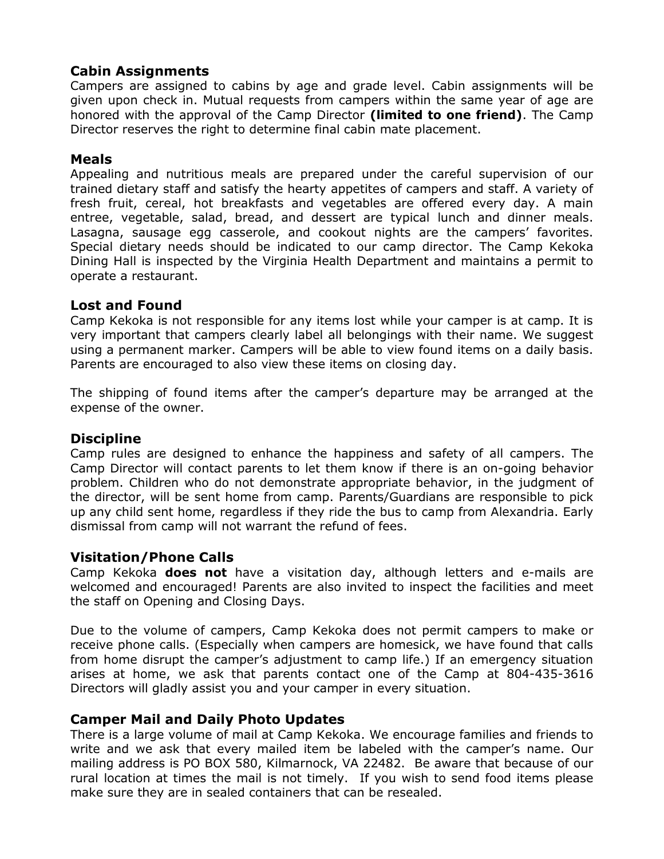# **Cabin Assignments**

Campers are assigned to cabins by age and grade level. Cabin assignments will be given upon check in. Mutual requests from campers within the same year of age are honored with the approval of the Camp Director **(limited to one friend)**. The Camp Director reserves the right to determine final cabin mate placement.

## **Meals**

Appealing and nutritious meals are prepared under the careful supervision of our trained dietary staff and satisfy the hearty appetites of campers and staff. A variety of fresh fruit, cereal, hot breakfasts and vegetables are offered every day. A main entree, vegetable, salad, bread, and dessert are typical lunch and dinner meals. Lasagna, sausage egg casserole, and cookout nights are the campers' favorites. Special dietary needs should be indicated to our camp director. The Camp Kekoka Dining Hall is inspected by the Virginia Health Department and maintains a permit to operate a restaurant.

#### **Lost and Found**

Camp Kekoka is not responsible for any items lost while your camper is at camp. It is very important that campers clearly label all belongings with their name. We suggest using a permanent marker. Campers will be able to view found items on a daily basis. Parents are encouraged to also view these items on closing day.

The shipping of found items after the camper's departure may be arranged at the expense of the owner.

#### **Discipline**

Camp rules are designed to enhance the happiness and safety of all campers. The Camp Director will contact parents to let them know if there is an on-going behavior problem. Children who do not demonstrate appropriate behavior, in the judgment of the director, will be sent home from camp. Parents/Guardians are responsible to pick up any child sent home, regardless if they ride the bus to camp from Alexandria. Early dismissal from camp will not warrant the refund of fees.

#### **Visitation/Phone Calls**

Camp Kekoka **does not** have a visitation day, although letters and e-mails are welcomed and encouraged! Parents are also invited to inspect the facilities and meet the staff on Opening and Closing Days.

Due to the volume of campers, Camp Kekoka does not permit campers to make or receive phone calls. (Especially when campers are homesick, we have found that calls from home disrupt the camper's adjustment to camp life.) If an emergency situation arises at home, we ask that parents contact one of the Camp at 804-435-3616 Directors will gladly assist you and your camper in every situation.

#### **Camper Mail and Daily Photo Updates**

There is a large volume of mail at Camp Kekoka. We encourage families and friends to write and we ask that every mailed item be labeled with the camper's name. Our mailing address is PO BOX 580, Kilmarnock, VA 22482. Be aware that because of our rural location at times the mail is not timely. If you wish to send food items please make sure they are in sealed containers that can be resealed.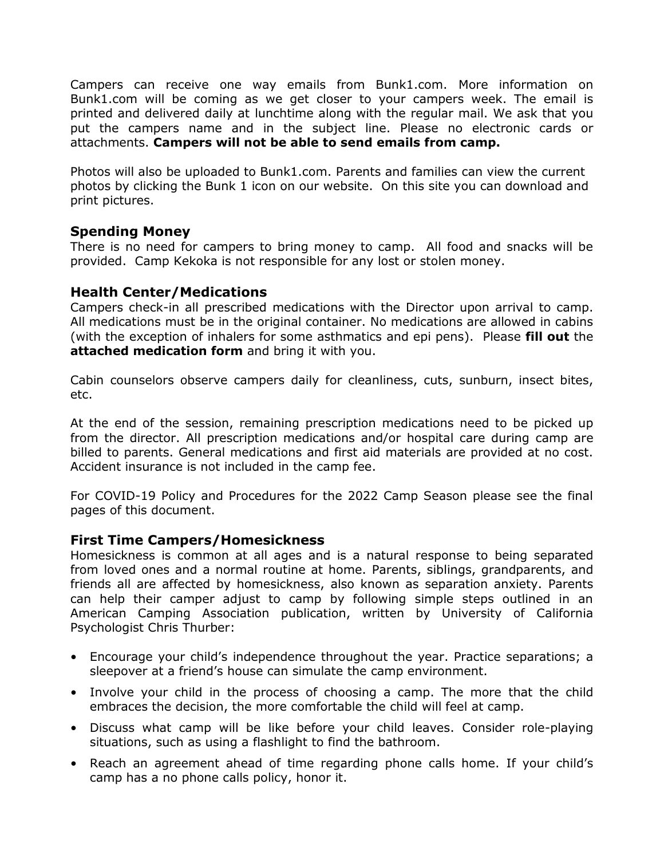Campers can receive one way emails from Bunk1.com. More information on Bunk1.com will be coming as we get closer to your campers week. The email is printed and delivered daily at lunchtime along with the regular mail. We ask that you put the campers name and in the subject line. Please no electronic cards or attachments. **Campers will not be able to send emails from camp.**

Photos will also be uploaded to Bunk1.com. Parents and families can view the current photos by clicking the Bunk 1 icon on our website. On this site you can download and print pictures.

#### **Spending Money**

There is no need for campers to bring money to camp. All food and snacks will be provided. Camp Kekoka is not responsible for any lost or stolen money.

## **Health Center/Medications**

Campers check-in all prescribed medications with the Director upon arrival to camp. All medications must be in the original container. No medications are allowed in cabins (with the exception of inhalers for some asthmatics and epi pens). Please **fill out** the **attached medication form** and bring it with you.

Cabin counselors observe campers daily for cleanliness, cuts, sunburn, insect bites, etc.

At the end of the session, remaining prescription medications need to be picked up from the director. All prescription medications and/or hospital care during camp are billed to parents. General medications and first aid materials are provided at no cost. Accident insurance is not included in the camp fee.

For COVID-19 Policy and Procedures for the 2022 Camp Season please see the final pages of this document.

#### **First Time Campers/Homesickness**

Homesickness is common at all ages and is a natural response to being separated from loved ones and a normal routine at home. Parents, siblings, grandparents, and friends all are affected by homesickness, also known as separation anxiety. Parents can help their camper adjust to camp by following simple steps outlined in an American Camping Association publication, written by University of California Psychologist Chris Thurber:

- Encourage your child's independence throughout the year. Practice separations; a sleepover at a friend's house can simulate the camp environment.
- Involve your child in the process of choosing a camp. The more that the child embraces the decision, the more comfortable the child will feel at camp.
- Discuss what camp will be like before your child leaves. Consider role-playing situations, such as using a flashlight to find the bathroom.
- Reach an agreement ahead of time regarding phone calls home. If your child's camp has a no phone calls policy, honor it.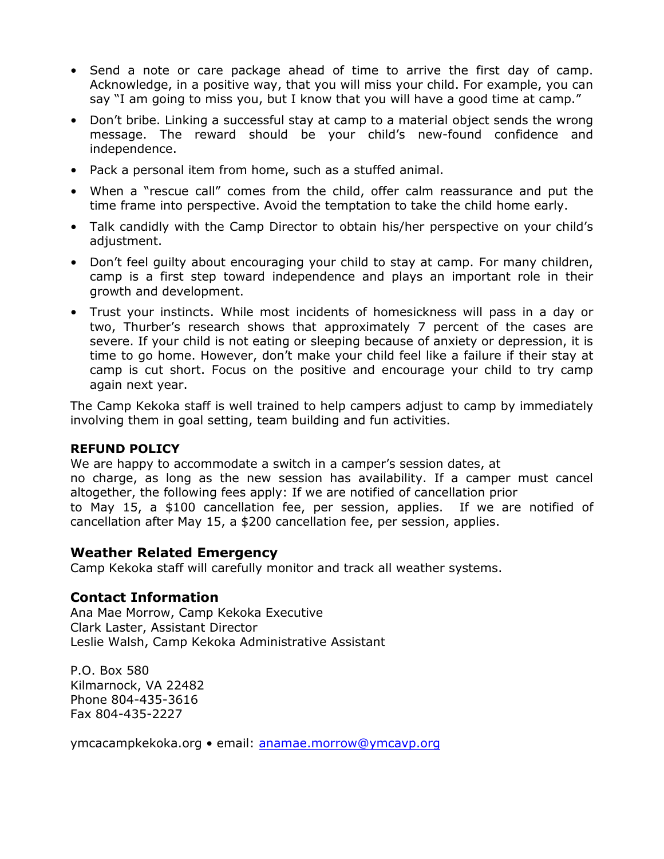- Send a note or care package ahead of time to arrive the first day of camp. Acknowledge, in a positive way, that you will miss your child. For example, you can say "I am going to miss you, but I know that you will have a good time at camp."
- Don't bribe. Linking a successful stay at camp to a material object sends the wrong message. The reward should be your child's new-found confidence and independence.
- Pack a personal item from home, such as a stuffed animal.
- When a "rescue call" comes from the child, offer calm reassurance and put the time frame into perspective. Avoid the temptation to take the child home early.
- Talk candidly with the Camp Director to obtain his/her perspective on your child's adjustment.
- Don't feel guilty about encouraging your child to stay at camp. For many children, camp is a first step toward independence and plays an important role in their growth and development.
- Trust your instincts. While most incidents of homesickness will pass in a day or two, Thurber's research shows that approximately 7 percent of the cases are severe. If your child is not eating or sleeping because of anxiety or depression, it is time to go home. However, don't make your child feel like a failure if their stay at camp is cut short. Focus on the positive and encourage your child to try camp again next year.

The Camp Kekoka staff is well trained to help campers adjust to camp by immediately involving them in goal setting, team building and fun activities.

#### **REFUND POLICY**

We are happy to accommodate a switch in a camper's session dates, at no charge, as long as the new session has availability. If a camper must cancel altogether, the following fees apply: If we are notified of cancellation prior to May 15, a \$100 cancellation fee, per session, applies. If we are notified of cancellation after May 15, a \$200 cancellation fee, per session, applies.

#### **Weather Related Emergency**

Camp Kekoka staff will carefully monitor and track all weather systems.

#### **Contact Information**

Ana Mae Morrow, Camp Kekoka Executive Clark Laster, Assistant Director Leslie Walsh, Camp Kekoka Administrative Assistant

P.O. Box 580 Kilmarnock, VA 22482 Phone 804-435-3616 Fax 804-435-2227

ymcacampkekoka.org • email: anamae.morrow@ymcavp.org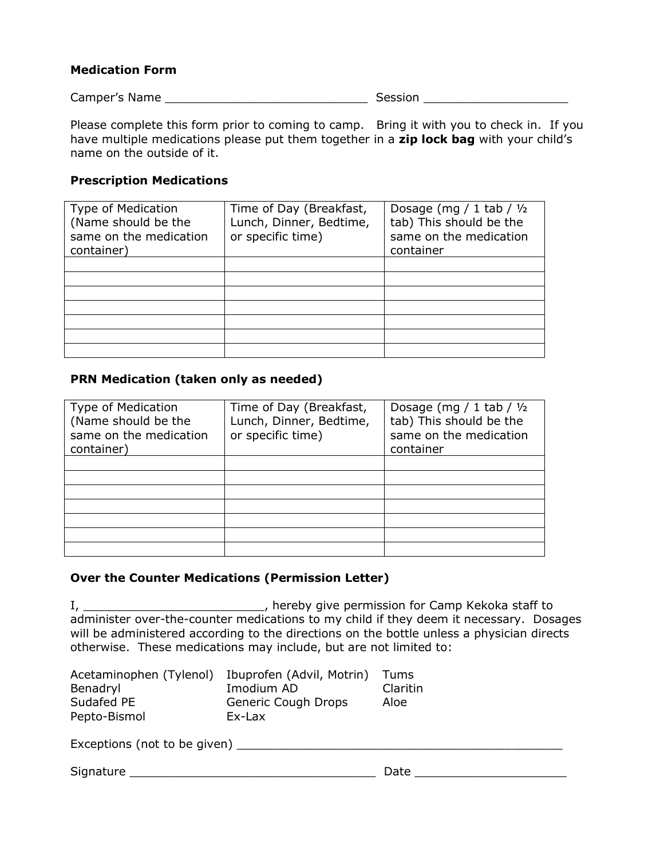#### **Medication Form**

Camper's Name \_\_\_\_\_\_\_\_\_\_\_\_\_\_\_\_\_\_\_\_\_\_\_\_\_\_\_\_ Session \_\_\_\_\_\_\_\_\_\_\_\_\_\_\_\_\_\_\_\_

Please complete this form prior to coming to camp. Bring it with you to check in. If you have multiple medications please put them together in a **zip lock bag** with your child's name on the outside of it.

#### **Prescription Medications**

| Type of Medication<br>(Name should be the<br>same on the medication<br>container) | Time of Day (Breakfast,<br>Lunch, Dinner, Bedtime,<br>or specific time) | Dosage (mg / 1 tab / $1/2$<br>tab) This should be the<br>same on the medication<br>container |
|-----------------------------------------------------------------------------------|-------------------------------------------------------------------------|----------------------------------------------------------------------------------------------|
|                                                                                   |                                                                         |                                                                                              |
|                                                                                   |                                                                         |                                                                                              |
|                                                                                   |                                                                         |                                                                                              |
|                                                                                   |                                                                         |                                                                                              |
|                                                                                   |                                                                         |                                                                                              |
|                                                                                   |                                                                         |                                                                                              |
|                                                                                   |                                                                         |                                                                                              |

#### **PRN Medication (taken only as needed)**

| Type of Medication<br>(Name should be the<br>same on the medication<br>container) | Time of Day (Breakfast,<br>Lunch, Dinner, Bedtime,<br>or specific time) | Dosage (mg / 1 tab / $1/2$<br>tab) This should be the<br>same on the medication<br>container |
|-----------------------------------------------------------------------------------|-------------------------------------------------------------------------|----------------------------------------------------------------------------------------------|
|                                                                                   |                                                                         |                                                                                              |
|                                                                                   |                                                                         |                                                                                              |
|                                                                                   |                                                                         |                                                                                              |
|                                                                                   |                                                                         |                                                                                              |
|                                                                                   |                                                                         |                                                                                              |
|                                                                                   |                                                                         |                                                                                              |
|                                                                                   |                                                                         |                                                                                              |

#### **Over the Counter Medications (Permission Letter)**

I, \_\_\_\_\_\_\_\_\_\_\_\_\_\_\_\_\_\_\_\_\_\_\_\_\_\_\_\_\_\_, hereby give permission for Camp Kekoka staff to administer over-the-counter medications to my child if they deem it necessary. Dosages will be administered according to the directions on the bottle unless a physician directs otherwise. These medications may include, but are not limited to:

| Acetaminophen (Tylenol) Ibuprofen (Advil, Motrin) |                     | Tums     |
|---------------------------------------------------|---------------------|----------|
| Benadryl                                          | Imodium AD          | Claritin |
| Sudafed PE                                        | Generic Cough Drops | Aloe     |
| Pepto-Bismol                                      | Ex-Lax              |          |

Exceptions (not to be given) \_\_\_\_\_\_\_\_\_\_\_\_\_\_\_\_\_\_\_\_\_\_\_\_\_\_\_\_\_\_\_\_\_\_\_\_\_\_\_\_\_\_\_\_\_

Signature \_\_\_\_\_\_\_\_\_\_\_\_\_\_\_\_\_\_\_\_\_\_\_\_\_\_\_\_\_\_\_\_\_\_ Date \_\_\_\_\_\_\_\_\_\_\_\_\_\_\_\_\_\_\_\_\_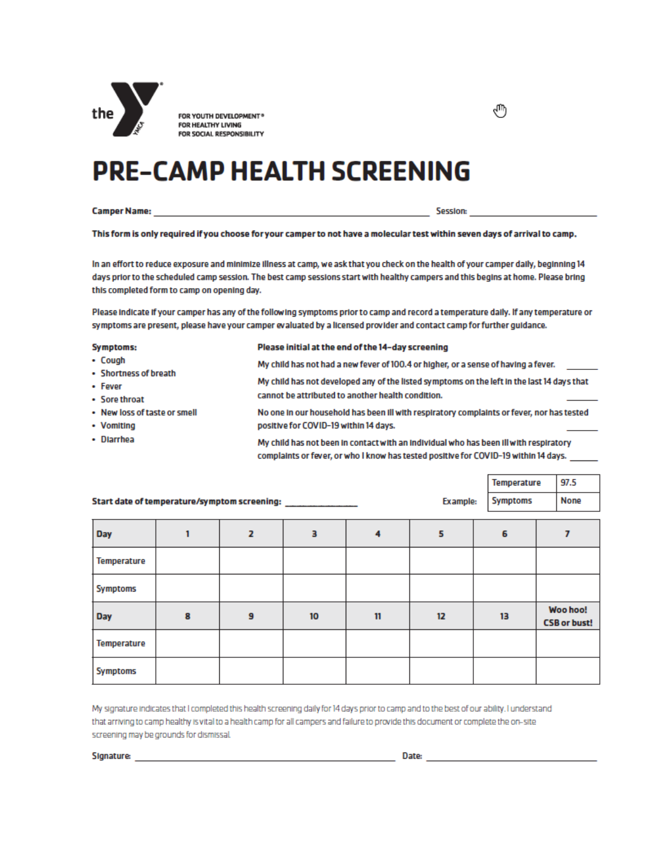

**FOR YOUTH DEVELOPMENT®**<br>FOR HEALTHY LIVING FOR SOCIAL RESPONSIBILITY

# **PRE-CAMP HEALTH SCREENING**

Camper Name: Experience of the Contract of the Contract of the Contract of the Contract of the Contract of the

৻Ͳ

This form is only required if you choose for your camper to not have a molecular test within seven days of arrival to camp.

In an effort to reduce exposure and minimize illness at camp, we ask that you check on the health of your camper daily, beginning 14 days prior to the scheduled camp session. The best camp sessions start with healthy campers and this begins at home. Please bring this completed form to camp on opening day.

Please indicate if your camper has any of the following symptoms prior to camp and record a temperature daily. If any temperature or symptoms are present, please have your camper evaluated by a licensed provider and contact camp for further guidance.

| Symptoms:                    | Please initial at the end of the 14-day screening                                                                                                                            |
|------------------------------|------------------------------------------------------------------------------------------------------------------------------------------------------------------------------|
| • Cough                      | My child has not had a new fever of 100.4 or higher, or a sense of having a fever.                                                                                           |
| • Shortness of breath        |                                                                                                                                                                              |
| • Fever                      | My child has not developed any of the listed symptoms on the left in the last 14 days that                                                                                   |
| • Sore throat                | cannot be attributed to another health condition.                                                                                                                            |
| • New loss of taste or smell | No one in our household has been ill with respiratory complaints or fever, nor has tested                                                                                    |
| • Vomiting                   | positive for COVID-19 within 14 days.                                                                                                                                        |
| • Diarrhea                   | My child has not been in contact with an individual who has been ill with respiratory<br>complaints or fever, or who I know has tested positive for COVID-19 within 14 days. |

|                    |                                              |   |                               |    |                 | Temperature     | 97.5                            |
|--------------------|----------------------------------------------|---|-------------------------------|----|-----------------|-----------------|---------------------------------|
|                    | Start date of temperature/symptom screening: |   | the control of the control of |    | <b>Example:</b> | <b>Symptoms</b> | <b>None</b>                     |
|                    |                                              |   |                               |    |                 |                 |                                 |
| Day                |                                              | 2 | з                             | 4  | 5               | 6               |                                 |
| Temperature        |                                              |   |                               |    |                 |                 |                                 |
| <b>Symptoms</b>    |                                              |   |                               |    |                 |                 |                                 |
| Day                | 8                                            | 9 | 10 <sup>10</sup>              | 11 | 12              | 13              | Woo hoo!<br><b>CSB or bust!</b> |
| <b>Temperature</b> |                                              |   |                               |    |                 |                 |                                 |
| <b>Symptoms</b>    |                                              |   |                               |    |                 |                 |                                 |

My signature indicates that I completed this health screening daily for 14 days prior to camp and to the best of our ability. I understand that arriving to camp healthy is vital to a health camp for all campers and failure to provide this document or complete the on-site screening may be grounds for dismissal.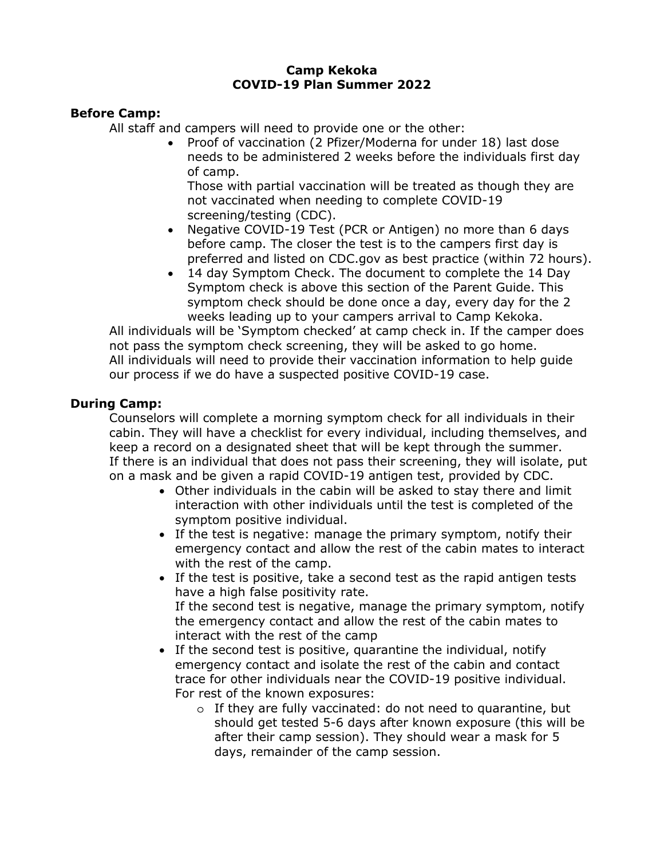#### **Camp Kekoka COVID-19 Plan Summer 2022**

#### **Before Camp:**

All staff and campers will need to provide one or the other:

• Proof of vaccination (2 Pfizer/Moderna for under 18) last dose needs to be administered 2 weeks before the individuals first day of camp.

Those with partial vaccination will be treated as though they are not vaccinated when needing to complete COVID-19 screening/testing (CDC).

- Negative COVID-19 Test (PCR or Antigen) no more than 6 days before camp. The closer the test is to the campers first day is preferred and listed on CDC.gov as best practice (within 72 hours).
- 14 day Symptom Check. The document to complete the 14 Day Symptom check is above this section of the Parent Guide. This symptom check should be done once a day, every day for the 2 weeks leading up to your campers arrival to Camp Kekoka.

All individuals will be 'Symptom checked' at camp check in. If the camper does not pass the symptom check screening, they will be asked to go home. All individuals will need to provide their vaccination information to help guide our process if we do have a suspected positive COVID-19 case.

## **During Camp:**

Counselors will complete a morning symptom check for all individuals in their cabin. They will have a checklist for every individual, including themselves, and keep a record on a designated sheet that will be kept through the summer. If there is an individual that does not pass their screening, they will isolate, put on a mask and be given a rapid COVID-19 antigen test, provided by CDC.

- Other individuals in the cabin will be asked to stay there and limit interaction with other individuals until the test is completed of the symptom positive individual.
- If the test is negative: manage the primary symptom, notify their emergency contact and allow the rest of the cabin mates to interact with the rest of the camp.
- If the test is positive, take a second test as the rapid antigen tests have a high false positivity rate. If the second test is negative, manage the primary symptom, notify the emergency contact and allow the rest of the cabin mates to interact with the rest of the camp
- If the second test is positive, quarantine the individual, notify emergency contact and isolate the rest of the cabin and contact trace for other individuals near the COVID-19 positive individual. For rest of the known exposures:
	- o If they are fully vaccinated: do not need to quarantine, but should get tested 5-6 days after known exposure (this will be after their camp session). They should wear a mask for 5 days, remainder of the camp session.